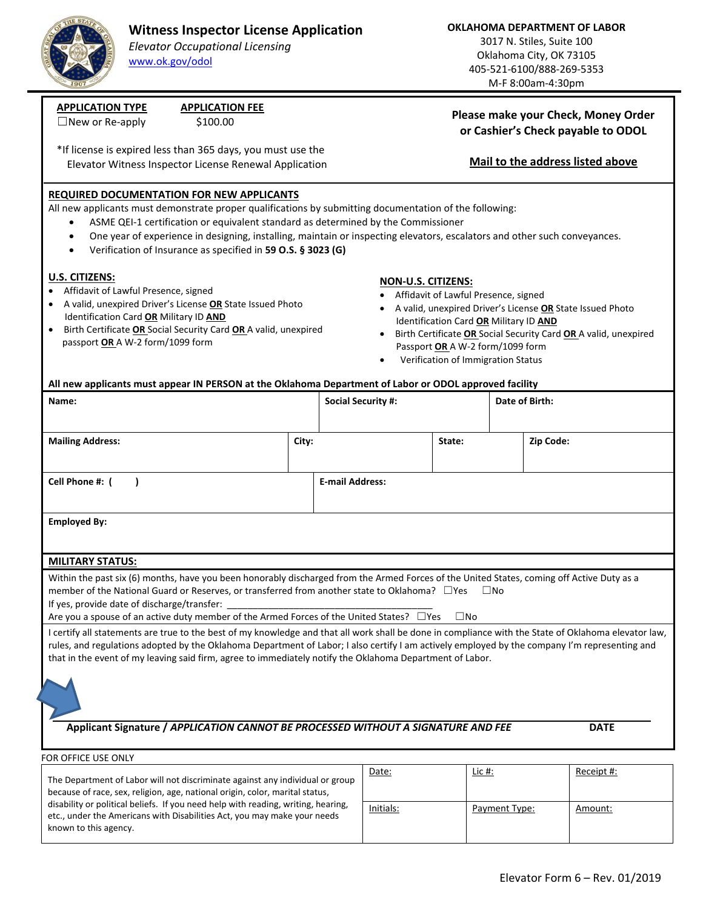

## **Witness Inspector License Application**

*Elevator Occupational Licensing* www.ok.gov/odol

**OKLAHOMA DEPARTMENT OF LABOR**

3017 N. Stiles, Suite 100 Oklahoma City, OK 73105 405‐521‐6100/888‐269‐5353 M‐F 8:00am‐4:30pm

**Please make your Check, Money Order or Cashier's Check payable to ODOL** 

**Mail to the address listed above** 

# **APPLICATION TYPE APPLICATION FEE**

 $\Box$ New or Re-apply  $$100.00$ 

\*If license is expired less than 365 days, you must use the Elevator Witness Inspector License Renewal Application

### **REQUIRED DOCUMENTATION FOR NEW APPLICANTS**

All new applicants must demonstrate proper qualifications by submitting documentation of the following:

- ASME QEI-1 certification or equivalent standard as determined by the Commissioner
- One year of experience in designing, installing, maintain or inspecting elevators, escalators and other such conveyances.
- Verification of Insurance as specified in **59 O.S. § 3023 (G)**

#### **U.S. CITIZENS:**

- Affidavit of Lawful Presence, signed
- A valid, unexpired Driver's License **OR** State Issued Photo Identification Card **OR** Military ID **AND**
- Birth Certificate **OR** Social Security Card **OR** A valid, unexpired passport **OR** A W‐2 form/1099 form

disability or political beliefs. If you need help with reading, writing, hearing, etc., under the Americans with Disabilities Act, you may make your needs

known to this agency.

#### **NON‐U.S. CITIZENS:**

- Affidavit of Lawful Presence, signed
- A valid, unexpired Driver's License **OR** State Issued Photo Identification Card **OR** Military ID **AND**
- Birth Certificate **OR** Social Security Card **OR** A valid, unexpired Passport **OR** A W‐2 form/1099 form
- Verification of Immigration Status

#### **All new applicants must appear IN PERSON at the Oklahoma Department of Labor or ODOL approved facility**

| Name:                                                                                                                                                                                                                                                                                                                                                                                                                    |                        | <b>Social Security #:</b> |  |        | Date of Birth: |           |            |
|--------------------------------------------------------------------------------------------------------------------------------------------------------------------------------------------------------------------------------------------------------------------------------------------------------------------------------------------------------------------------------------------------------------------------|------------------------|---------------------------|--|--------|----------------|-----------|------------|
| <b>Mailing Address:</b>                                                                                                                                                                                                                                                                                                                                                                                                  | City:                  |                           |  | State: |                | Zip Code: |            |
| Cell Phone #: (                                                                                                                                                                                                                                                                                                                                                                                                          | <b>E-mail Address:</b> |                           |  |        |                |           |            |
| <b>Employed By:</b>                                                                                                                                                                                                                                                                                                                                                                                                      |                        |                           |  |        |                |           |            |
| <b>MILITARY STATUS:</b>                                                                                                                                                                                                                                                                                                                                                                                                  |                        |                           |  |        |                |           |            |
| Within the past six (6) months, have you been honorably discharged from the Armed Forces of the United States, coming off Active Duty as a<br>member of the National Guard or Reserves, or transferred from another state to Oklahoma? □ Yes<br>$\square$ No<br>If yes, provide date of discharge/transfer:<br>Are you a spouse of an active duty member of the Armed Forces of the United States? □ Yes<br>$\square$ No |                        |                           |  |        |                |           |            |
| I certify all statements are true to the best of my knowledge and that all work shall be done in compliance with the State of Oklahoma elevator law,<br>rules, and regulations adopted by the Oklahoma Department of Labor; I also certify I am actively employed by the company I'm representing and<br>that in the event of my leaving said firm, agree to immediately notify the Oklahoma Department of Labor.        |                        |                           |  |        |                |           |            |
| Applicant Signature / APPLICATION CANNOT BE PROCESSED WITHOUT A SIGNATURE AND FEE<br><b>DATE</b>                                                                                                                                                                                                                                                                                                                         |                        |                           |  |        |                |           |            |
|                                                                                                                                                                                                                                                                                                                                                                                                                          |                        |                           |  |        |                |           |            |
| FOR OFFICE USE ONLY                                                                                                                                                                                                                                                                                                                                                                                                      |                        |                           |  |        |                |           |            |
| The Department of Labor will not discriminate against any individual or group<br>because of race, sex, religion, age, national origin, color, marital status,                                                                                                                                                                                                                                                            |                        | Date:                     |  | Lic #: |                |           | Receipt #: |

Initials: **Payment Type:** Amount: